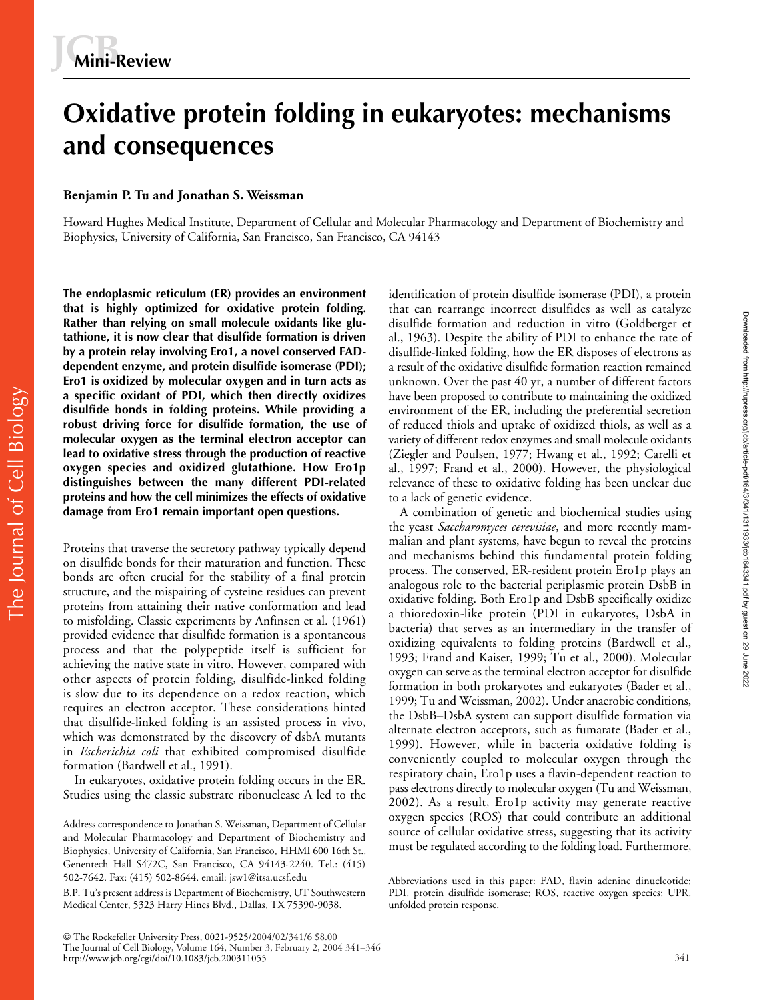# **Oxidative protein folding in eukaryotes: mechanisms and consequences**

# **Benjamin P. Tu and Jonathan S. Weissman**

Howard Hughes Medical Institute, Department of Cellular and Molecular Pharmacology and Department of Biochemistry and Biophysics, University of California, San Francisco, San Francisco, CA 94143

**The endoplasmic reticulum (ER) provides an environment that is highly optimized for oxidative protein folding. Rather than relying on small molecule oxidants like glutathione, it is now clear that disulfide formation is driven by a protein relay involving Ero1, a novel conserved FADdependent enzyme, and protein disulfide isomerase (PDI); Ero1 is oxidized by molecular oxygen and in turn acts as a specific oxidant of PDI, which then directly oxidizes disulfide bonds in folding proteins. While providing a robust driving force for disulfide formation, the use of molecular oxygen as the terminal electron acceptor can lead to oxidative stress through the production of reactive oxygen species and oxidized glutathione. How Ero1p distinguishes between the many different PDI-related proteins and how the cell minimizes the effects of oxidative damage from Ero1 remain important open questions.**

Proteins that traverse the secretory pathway typically depend on disulfide bonds for their maturation and function. These bonds are often crucial for the stability of a final protein structure, and the mispairing of cysteine residues can prevent proteins from attaining their native conformation and lead to misfolding. Classic experiments by Anfinsen et al. (1961) provided evidence that disulfide formation is a spontaneous process and that the polypeptide itself is sufficient for achieving the native state in vitro. However, compared with other aspects of protein folding, disulfide-linked folding is slow due to its dependence on a redox reaction, which requires an electron acceptor. These considerations hinted that disulfide-linked folding is an assisted process in vivo, which was demonstrated by the discovery of dsbA mutants in *Escherichia coli* that exhibited compromised disulfide formation (Bardwell et al., 1991).

In eukaryotes, oxidative protein folding occurs in the ER. Studies using the classic substrate ribonuclease A led to the identification of protein disulfide isomerase (PDI), a protein that can rearrange incorrect disulfides as well as catalyze disulfide formation and reduction in vitro (Goldberger et al., 1963). Despite the ability of PDI to enhance the rate of disulfide-linked folding, how the ER disposes of electrons as a result of the oxidative disulfide formation reaction remained unknown. Over the past 40 yr, a number of different factors have been proposed to contribute to maintaining the oxidized environment of the ER, including the preferential secretion of reduced thiols and uptake of oxidized thiols, as well as a variety of different redox enzymes and small molecule oxidants (Ziegler and Poulsen, 1977; Hwang et al., 1992; Carelli et al., 1997; Frand et al., 2000). However, the physiological relevance of these to oxidative folding has been unclear due to a lack of genetic evidence.

A combination of genetic and biochemical studies using the yeast *Saccharomyces cerevisiae*, and more recently mammalian and plant systems, have begun to reveal the proteins and mechanisms behind this fundamental protein folding process. The conserved, ER-resident protein Ero1p plays an analogous role to the bacterial periplasmic protein DsbB in oxidative folding. Both Ero1p and DsbB specifically oxidize a thioredoxin-like protein (PDI in eukaryotes, DsbA in bacteria) that serves as an intermediary in the transfer of oxidizing equivalents to folding proteins (Bardwell et al., 1993; Frand and Kaiser, 1999; Tu et al., 2000). Molecular oxygen can serve as the terminal electron acceptor for disulfide formation in both prokaryotes and eukaryotes (Bader et al., 1999; Tu and Weissman, 2002). Under anaerobic conditions, the DsbB–DsbA system can support disulfide formation via alternate electron acceptors, such as fumarate (Bader et al., 1999). However, while in bacteria oxidative folding is conveniently coupled to molecular oxygen through the respiratory chain, Ero1p uses a flavin-dependent reaction to pass electrons directly to molecular oxygen (Tu and Weissman, 2002). As a result, Ero1p activity may generate reactive oxygen species (ROS) that could contribute an additional source of cellular oxidative stress, suggesting that its activity must be regulated according to the folding load. Furthermore,

Address correspondence to Jonathan S. Weissman, Department of Cellular and Molecular Pharmacology and Department of Biochemistry and Biophysics, University of California, San Francisco, HHMI 600 16th St., Genentech Hall S472C, San Francisco, CA 94143-2240. Tel.: (415) 502-7642. Fax: (415) 502-8644. email: jsw1@itsa.ucsf.edu

B.P. Tu's present address is Department of Biochemistry, UT Southwestern Medical Center, 5323 Harry Hines Blvd., Dallas, TX 75390-9038.

Abbreviations used in this paper: FAD, flavin adenine dinucleotide; PDI, protein disulfide isomerase; ROS, reactive oxygen species; UPR, unfolded protein response.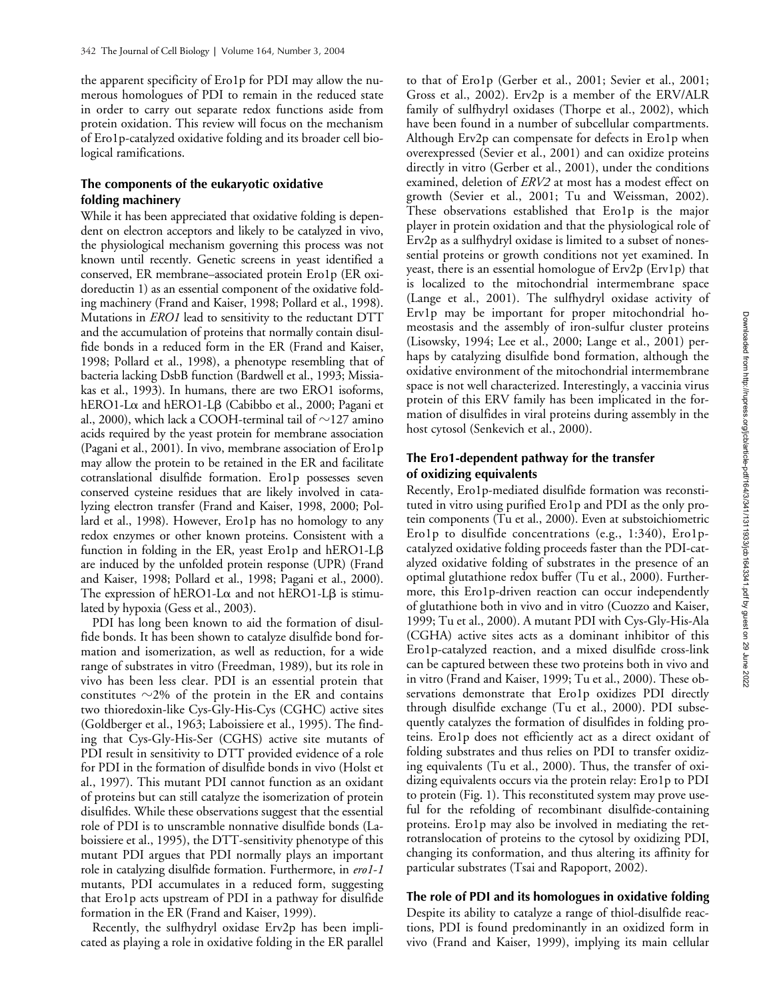the apparent specificity of Ero1p for PDI may allow the numerous homologues of PDI to remain in the reduced state in order to carry out separate redox functions aside from protein oxidation. This review will focus on the mechanism of Ero1p-catalyzed oxidative folding and its broader cell biological ramifications.

# **The components of the eukaryotic oxidative folding machinery**

While it has been appreciated that oxidative folding is dependent on electron acceptors and likely to be catalyzed in vivo, the physiological mechanism governing this process was not known until recently. Genetic screens in yeast identified a conserved, ER membrane–associated protein Ero1p (ER oxidoreductin 1) as an essential component of the oxidative folding machinery (Frand and Kaiser, 1998; Pollard et al., 1998). Mutations in *ERO1* lead to sensitivity to the reductant DTT and the accumulation of proteins that normally contain disulfide bonds in a reduced form in the ER (Frand and Kaiser, 1998; Pollard et al., 1998), a phenotype resembling that of bacteria lacking DsbB function (Bardwell et al., 1993; Missiakas et al., 1993). In humans, there are two ERO1 isoforms, hERO1-Lα and hERO1-Lβ (Cabibbo et al., 2000; Pagani et al., 2000), which lack a COOH-terminal tail of  $\sim$ 127 amino acids required by the yeast protein for membrane association (Pagani et al., 2001). In vivo, membrane association of Ero1p may allow the protein to be retained in the ER and facilitate cotranslational disulfide formation. Ero1p possesses seven conserved cysteine residues that are likely involved in catalyzing electron transfer (Frand and Kaiser, 1998, 2000; Pollard et al., 1998). However, Ero1p has no homology to any redox enzymes or other known proteins. Consistent with a function in folding in the ER, yeast Ero1p and hERO1-L $\beta$ are induced by the unfolded protein response (UPR) (Frand and Kaiser, 1998; Pollard et al., 1998; Pagani et al., 2000). The expression of hERO1-L $\alpha$  and not hERO1-L $\beta$  is stimulated by hypoxia (Gess et al., 2003).

PDI has long been known to aid the formation of disulfide bonds. It has been shown to catalyze disulfide bond formation and isomerization, as well as reduction, for a wide range of substrates in vitro (Freedman, 1989), but its role in vivo has been less clear. PDI is an essential protein that constitutes  $\sim$ 2% of the protein in the ER and contains two thioredoxin-like Cys-Gly-His-Cys (CGHC) active sites (Goldberger et al., 1963; Laboissiere et al., 1995). The finding that Cys-Gly-His-Ser (CGHS) active site mutants of PDI result in sensitivity to DTT provided evidence of a role for PDI in the formation of disulfide bonds in vivo (Holst et al., 1997). This mutant PDI cannot function as an oxidant of proteins but can still catalyze the isomerization of protein disulfides. While these observations suggest that the essential role of PDI is to unscramble nonnative disulfide bonds (Laboissiere et al., 1995), the DTT-sensitivity phenotype of this mutant PDI argues that PDI normally plays an important role in catalyzing disulfide formation. Furthermore, in *ero1*-*1* mutants, PDI accumulates in a reduced form, suggesting that Ero1p acts upstream of PDI in a pathway for disulfide formation in the ER (Frand and Kaiser, 1999).

Recently, the sulfhydryl oxidase Erv2p has been implicated as playing a role in oxidative folding in the ER parallel

to that of Ero1p (Gerber et al., 2001; Sevier et al., 2001; Gross et al., 2002). Erv2p is a member of the ERV/ALR family of sulfhydryl oxidases (Thorpe et al., 2002), which have been found in a number of subcellular compartments. Although Erv2p can compensate for defects in Ero1p when overexpressed (Sevier et al., 2001) and can oxidize proteins directly in vitro (Gerber et al., 2001), under the conditions examined, deletion of *ERV2* at most has a modest effect on growth (Sevier et al., 2001; Tu and Weissman, 2002). These observations established that Ero1p is the major player in protein oxidation and that the physiological role of Erv2p as a sulfhydryl oxidase is limited to a subset of nonessential proteins or growth conditions not yet examined. In yeast, there is an essential homologue of Erv2p (Erv1p) that is localized to the mitochondrial intermembrane space (Lange et al., 2001). The sulfhydryl oxidase activity of Erv1p may be important for proper mitochondrial homeostasis and the assembly of iron-sulfur cluster proteins (Lisowsky, 1994; Lee et al., 2000; Lange et al., 2001) perhaps by catalyzing disulfide bond formation, although the oxidative environment of the mitochondrial intermembrane space is not well characterized. Interestingly, a vaccinia virus protein of this ERV family has been implicated in the formation of disulfides in viral proteins during assembly in the host cytosol (Senkevich et al., 2000).

# **The Ero1-dependent pathway for the transfer of oxidizing equivalents**

Recently, Ero1p-mediated disulfide formation was reconstituted in vitro using purified Ero1p and PDI as the only protein components (Tu et al., 2000). Even at substoichiometric Ero1p to disulfide concentrations (e.g., 1:340), Ero1pcatalyzed oxidative folding proceeds faster than the PDI-catalyzed oxidative folding of substrates in the presence of an optimal glutathione redox buffer (Tu et al., 2000). Furthermore, this Ero1p-driven reaction can occur independently of glutathione both in vivo and in vitro (Cuozzo and Kaiser, 1999; Tu et al., 2000). A mutant PDI with Cys-Gly-His-Ala (CGHA) active sites acts as a dominant inhibitor of this Ero1p-catalyzed reaction, and a mixed disulfide cross-link can be captured between these two proteins both in vivo and in vitro (Frand and Kaiser, 1999; Tu et al., 2000). These observations demonstrate that Ero1p oxidizes PDI directly through disulfide exchange (Tu et al., 2000). PDI subsequently catalyzes the formation of disulfides in folding proteins. Ero1p does not efficiently act as a direct oxidant of folding substrates and thus relies on PDI to transfer oxidizing equivalents (Tu et al., 2000). Thus, the transfer of oxidizing equivalents occurs via the protein relay: Ero1p to PDI to protein (Fig. 1). This reconstituted system may prove useful for the refolding of recombinant disulfide-containing proteins. Ero1p may also be involved in mediating the retrotranslocation of proteins to the cytosol by oxidizing PDI, changing its conformation, and thus altering its affinity for particular substrates (Tsai and Rapoport, 2002).

# **The role of PDI and its homologues in oxidative folding**

Despite its ability to catalyze a range of thiol-disulfide reactions, PDI is found predominantly in an oxidized form in vivo (Frand and Kaiser, 1999), implying its main cellular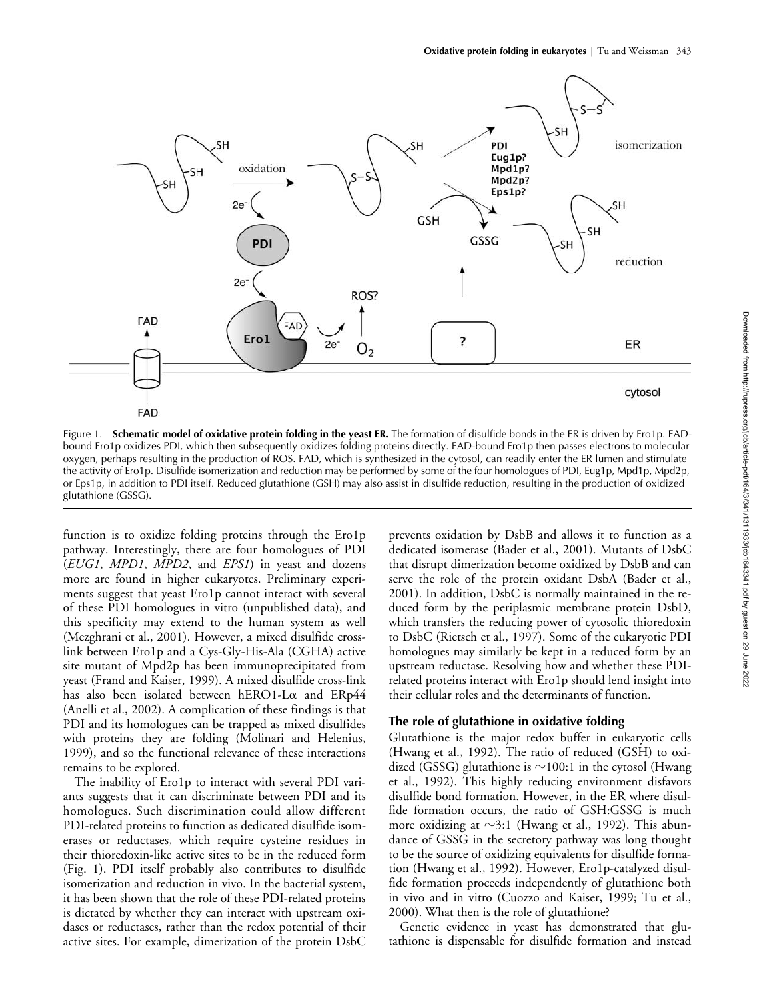

Figure 1. **Schematic model of oxidative protein folding in the yeast ER.** The formation of disulfide bonds in the ER is driven by Ero1p. FADbound Ero1p oxidizes PDI, which then subsequently oxidizes folding proteins directly. FAD-bound Ero1p then passes electrons to molecular oxygen, perhaps resulting in the production of ROS. FAD, which is synthesized in the cytosol, can readily enter the ER lumen and stimulate the activity of Ero1p. Disulfide isomerization and reduction may be performed by some of the four homologues of PDI, Eug1p, Mpd1p, Mpd2p, or Eps1p, in addition to PDI itself. Reduced glutathione (GSH) may also assist in disulfide reduction, resulting in the production of oxidized glutathione (GSSG).

function is to oxidize folding proteins through the Ero1p pathway. Interestingly, there are four homologues of PDI (*EUG1*, *MPD1*, *MPD2*, and *EPS1*) in yeast and dozens more are found in higher eukaryotes. Preliminary experiments suggest that yeast Ero1p cannot interact with several of these PDI homologues in vitro (unpublished data), and this specificity may extend to the human system as well (Mezghrani et al., 2001). However, a mixed disulfide crosslink between Ero1p and a Cys-Gly-His-Ala (CGHA) active site mutant of Mpd2p has been immunoprecipitated from yeast (Frand and Kaiser, 1999). A mixed disulfide cross-link has also been isolated between hERO1-L $\alpha$  and ERp44 (Anelli et al., 2002). A complication of these findings is that PDI and its homologues can be trapped as mixed disulfides with proteins they are folding (Molinari and Helenius, 1999), and so the functional relevance of these interactions remains to be explored.

The inability of Ero1p to interact with several PDI variants suggests that it can discriminate between PDI and its homologues. Such discrimination could allow different PDI-related proteins to function as dedicated disulfide isomerases or reductases, which require cysteine residues in their thioredoxin-like active sites to be in the reduced form (Fig. 1). PDI itself probably also contributes to disulfide isomerization and reduction in vivo. In the bacterial system, it has been shown that the role of these PDI-related proteins is dictated by whether they can interact with upstream oxidases or reductases, rather than the redox potential of their active sites. For example, dimerization of the protein DsbC prevents oxidation by DsbB and allows it to function as a dedicated isomerase (Bader et al., 2001). Mutants of DsbC that disrupt dimerization become oxidized by DsbB and can serve the role of the protein oxidant DsbA (Bader et al., 2001). In addition, DsbC is normally maintained in the reduced form by the periplasmic membrane protein DsbD, which transfers the reducing power of cytosolic thioredoxin to DsbC (Rietsch et al., 1997). Some of the eukaryotic PDI homologues may similarly be kept in a reduced form by an upstream reductase. Resolving how and whether these PDIrelated proteins interact with Ero1p should lend insight into their cellular roles and the determinants of function.

#### **The role of glutathione in oxidative folding**

Glutathione is the major redox buffer in eukaryotic cells (Hwang et al., 1992). The ratio of reduced (GSH) to oxidized (GSSG) glutathione is  ${\sim}100{:}1$  in the cytosol (Hwang et al., 1992). This highly reducing environment disfavors disulfide bond formation. However, in the ER where disulfide formation occurs, the ratio of GSH:GSSG is much more oxidizing at  $\sim$ 3:1 (Hwang et al., 1992). This abundance of GSSG in the secretory pathway was long thought to be the source of oxidizing equivalents for disulfide formation (Hwang et al., 1992). However, Ero1p-catalyzed disulfide formation proceeds independently of glutathione both in vivo and in vitro (Cuozzo and Kaiser, 1999; Tu et al., 2000). What then is the role of glutathione?

Genetic evidence in yeast has demonstrated that glutathione is dispensable for disulfide formation and instead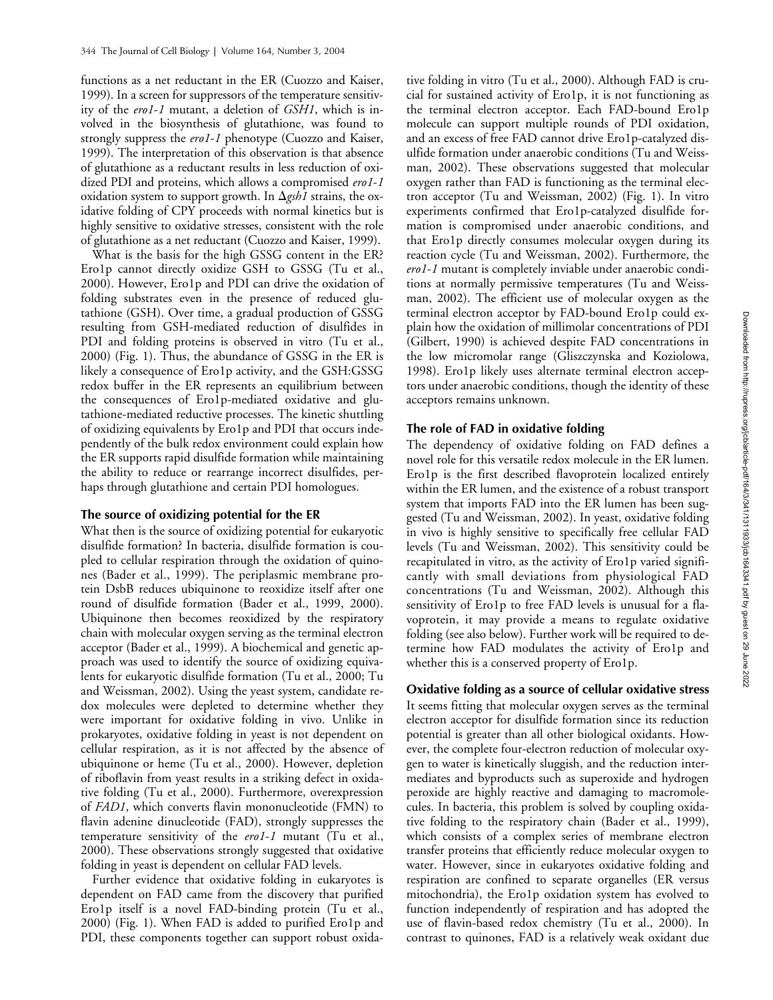functions as a net reductant in the ER (Cuozzo and Kaiser, 1999). In a screen for suppressors of the temperature sensitivity of the *ero1*-*1* mutant, a deletion of *GSH1*, which is involved in the biosynthesis of glutathione, was found to strongly suppress the *ero1*-*1* phenotype (Cuozzo and Kaiser, 1999). The interpretation of this observation is that absence of glutathione as a reductant results in less reduction of oxidized PDI and proteins, which allows a compromised *ero1*-*1* oxidation system to support growth. In  $\Delta$ *gsh1* strains, the oxidative folding of CPY proceeds with normal kinetics but is highly sensitive to oxidative stresses, consistent with the role of glutathione as a net reductant (Cuozzo and Kaiser, 1999).

What is the basis for the high GSSG content in the ER? Ero1p cannot directly oxidize GSH to GSSG (Tu et al., 2000). However, Ero1p and PDI can drive the oxidation of folding substrates even in the presence of reduced glutathione (GSH). Over time, a gradual production of GSSG resulting from GSH-mediated reduction of disulfides in PDI and folding proteins is observed in vitro (Tu et al., 2000) (Fig. 1). Thus, the abundance of GSSG in the ER is likely a consequence of Ero1p activity, and the GSH:GSSG redox buffer in the ER represents an equilibrium between the consequences of Ero1p-mediated oxidative and glutathione-mediated reductive processes. The kinetic shuttling of oxidizing equivalents by Ero1p and PDI that occurs independently of the bulk redox environment could explain how the ER supports rapid disulfide formation while maintaining the ability to reduce or rearrange incorrect disulfides, perhaps through glutathione and certain PDI homologues.

#### **The source of oxidizing potential for the ER**

What then is the source of oxidizing potential for eukaryotic disulfide formation? In bacteria, disulfide formation is coupled to cellular respiration through the oxidation of quinones (Bader et al., 1999). The periplasmic membrane protein DsbB reduces ubiquinone to reoxidize itself after one round of disulfide formation (Bader et al., 1999, 2000). Ubiquinone then becomes reoxidized by the respiratory chain with molecular oxygen serving as the terminal electron acceptor (Bader et al., 1999). A biochemical and genetic approach was used to identify the source of oxidizing equivalents for eukaryotic disulfide formation (Tu et al., 2000; Tu and Weissman, 2002). Using the yeast system, candidate redox molecules were depleted to determine whether they were important for oxidative folding in vivo. Unlike in prokaryotes, oxidative folding in yeast is not dependent on cellular respiration, as it is not affected by the absence of ubiquinone or heme (Tu et al., 2000). However, depletion of riboflavin from yeast results in a striking defect in oxidative folding (Tu et al., 2000). Furthermore, overexpression of *FAD1*, which converts flavin mononucleotide (FMN) to flavin adenine dinucleotide (FAD), strongly suppresses the temperature sensitivity of the *ero1*-*1* mutant (Tu et al., 2000). These observations strongly suggested that oxidative folding in yeast is dependent on cellular FAD levels.

Further evidence that oxidative folding in eukaryotes is dependent on FAD came from the discovery that purified Ero1p itself is a novel FAD-binding protein (Tu et al., 2000) (Fig. 1). When FAD is added to purified Ero1p and PDI, these components together can support robust oxida-

tive folding in vitro (Tu et al., 2000). Although FAD is crucial for sustained activity of Ero1p, it is not functioning as the terminal electron acceptor. Each FAD-bound Ero1p molecule can support multiple rounds of PDI oxidation, and an excess of free FAD cannot drive Ero1p-catalyzed disulfide formation under anaerobic conditions (Tu and Weissman, 2002). These observations suggested that molecular oxygen rather than FAD is functioning as the terminal electron acceptor (Tu and Weissman, 2002) (Fig. 1). In vitro experiments confirmed that Ero1p-catalyzed disulfide formation is compromised under anaerobic conditions, and that Ero1p directly consumes molecular oxygen during its reaction cycle (Tu and Weissman, 2002). Furthermore, the *ero1*-*1* mutant is completely inviable under anaerobic conditions at normally permissive temperatures (Tu and Weissman, 2002). The efficient use of molecular oxygen as the terminal electron acceptor by FAD-bound Ero1p could explain how the oxidation of millimolar concentrations of PDI (Gilbert, 1990) is achieved despite FAD concentrations in the low micromolar range (Gliszczynska and Koziolowa, 1998). Ero1p likely uses alternate terminal electron acceptors under anaerobic conditions, though the identity of these acceptors remains unknown.

#### **The role of FAD in oxidative folding**

The dependency of oxidative folding on FAD defines a novel role for this versatile redox molecule in the ER lumen. Ero1p is the first described flavoprotein localized entirely within the ER lumen, and the existence of a robust transport system that imports FAD into the ER lumen has been suggested (Tu and Weissman, 2002). In yeast, oxidative folding in vivo is highly sensitive to specifically free cellular FAD levels (Tu and Weissman, 2002). This sensitivity could be recapitulated in vitro, as the activity of Ero1p varied significantly with small deviations from physiological FAD concentrations (Tu and Weissman, 2002). Although this sensitivity of Ero1p to free FAD levels is unusual for a flavoprotein, it may provide a means to regulate oxidative folding (see also below). Further work will be required to determine how FAD modulates the activity of Ero1p and whether this is a conserved property of Ero1p.

#### **Oxidative folding as a source of cellular oxidative stress**

It seems fitting that molecular oxygen serves as the terminal electron acceptor for disulfide formation since its reduction potential is greater than all other biological oxidants. However, the complete four-electron reduction of molecular oxygen to water is kinetically sluggish, and the reduction intermediates and byproducts such as superoxide and hydrogen peroxide are highly reactive and damaging to macromolecules. In bacteria, this problem is solved by coupling oxidative folding to the respiratory chain (Bader et al., 1999), which consists of a complex series of membrane electron transfer proteins that efficiently reduce molecular oxygen to water. However, since in eukaryotes oxidative folding and respiration are confined to separate organelles (ER versus mitochondria), the Ero1p oxidation system has evolved to function independently of respiration and has adopted the use of flavin-based redox chemistry (Tu et al., 2000). In contrast to quinones, FAD is a relatively weak oxidant due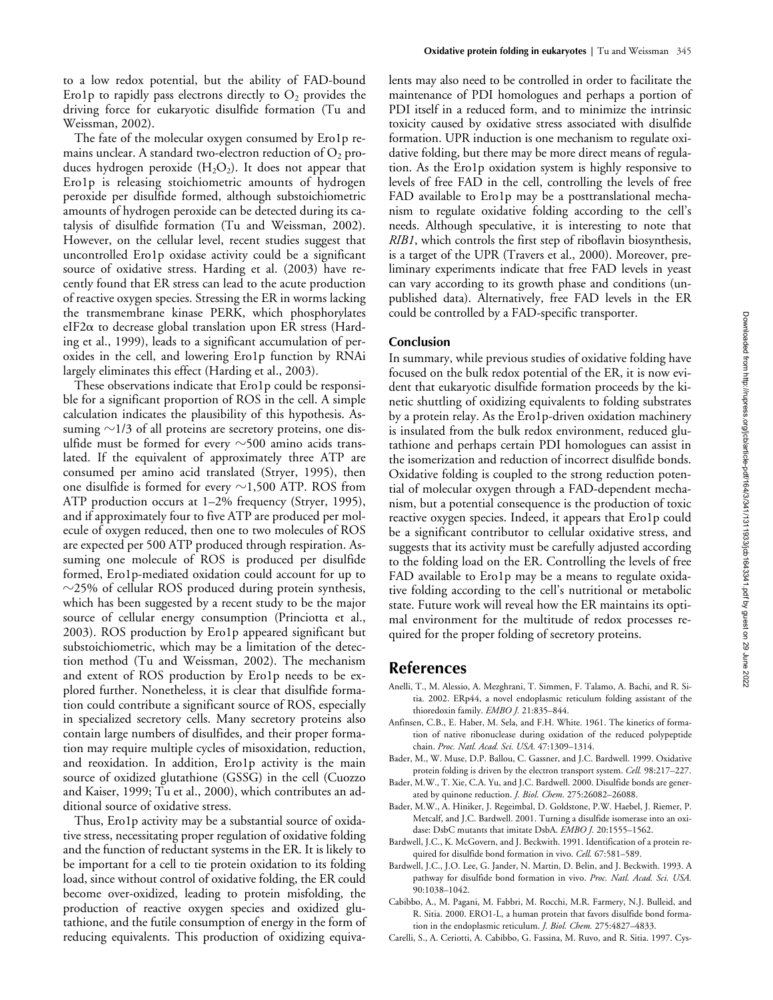to a low redox potential, but the ability of FAD-bound Ero1p to rapidly pass electrons directly to  $O_2$  provides the driving force for eukaryotic disulfide formation (Tu and Weissman, 2002).

The fate of the molecular oxygen consumed by Ero1p remains unclear. A standard two-electron reduction of  $O_2$  produces hydrogen peroxide  $(H_2O_2)$ . It does not appear that Ero1p is releasing stoichiometric amounts of hydrogen peroxide per disulfide formed, although substoichiometric amounts of hydrogen peroxide can be detected during its catalysis of disulfide formation (Tu and Weissman, 2002). However, on the cellular level, recent studies suggest that uncontrolled Ero1p oxidase activity could be a significant source of oxidative stress. Harding et al. (2003) have recently found that ER stress can lead to the acute production of reactive oxygen species. Stressing the ER in worms lacking the transmembrane kinase PERK, which phosphorylates  $e$ IF2 $\alpha$  to decrease global translation upon ER stress (Harding et al., 1999), leads to a significant accumulation of peroxides in the cell, and lowering Ero1p function by RNAi largely eliminates this effect (Harding et al., 2003).

These observations indicate that Ero1p could be responsible for a significant proportion of ROS in the cell. A simple calculation indicates the plausibility of this hypothesis. Assuming  ${\sim}$ 1/3 of all proteins are secretory proteins, one disulfide must be formed for every  $\sim$ 500 amino acids translated. If the equivalent of approximately three ATP are consumed per amino acid translated (Stryer, 1995), then one disulfide is formed for every  ${\sim}1{,}500$  ATP. ROS from ATP production occurs at 1–2% frequency (Stryer, 1995), and if approximately four to five ATP are produced per molecule of oxygen reduced, then one to two molecules of ROS are expected per 500 ATP produced through respiration. Assuming one molecule of ROS is produced per disulfide formed, Ero1p-mediated oxidation could account for up to  $\sim$ 25% of cellular ROS produced during protein synthesis, which has been suggested by a recent study to be the major source of cellular energy consumption (Princiotta et al., 2003). ROS production by Ero1p appeared significant but substoichiometric, which may be a limitation of the detection method (Tu and Weissman, 2002). The mechanism and extent of ROS production by Ero1p needs to be explored further. Nonetheless, it is clear that disulfide formation could contribute a significant source of ROS, especially in specialized secretory cells. Many secretory proteins also contain large numbers of disulfides, and their proper formation may require multiple cycles of misoxidation, reduction, and reoxidation. In addition, Ero1p activity is the main source of oxidized glutathione (GSSG) in the cell (Cuozzo and Kaiser, 1999; Tu et al., 2000), which contributes an additional source of oxidative stress.

Thus, Ero1p activity may be a substantial source of oxidative stress, necessitating proper regulation of oxidative folding and the function of reductant systems in the ER. It is likely to be important for a cell to tie protein oxidation to its folding load, since without control of oxidative folding, the ER could become over-oxidized, leading to protein misfolding, the production of reactive oxygen species and oxidized glutathione, and the futile consumption of energy in the form of reducing equivalents. This production of oxidizing equivalents may also need to be controlled in order to facilitate the maintenance of PDI homologues and perhaps a portion of PDI itself in a reduced form, and to minimize the intrinsic toxicity caused by oxidative stress associated with disulfide formation. UPR induction is one mechanism to regulate oxidative folding, but there may be more direct means of regulation. As the Ero1p oxidation system is highly responsive to levels of free FAD in the cell, controlling the levels of free FAD available to Ero1p may be a posttranslational mechanism to regulate oxidative folding according to the cell's needs. Although speculative, it is interesting to note that *RIB1*, which controls the first step of riboflavin biosynthesis, is a target of the UPR (Travers et al., 2000). Moreover, preliminary experiments indicate that free FAD levels in yeast can vary according to its growth phase and conditions (unpublished data). Alternatively, free FAD levels in the ER could be controlled by a FAD-specific transporter.

#### **Conclusion**

In summary, while previous studies of oxidative folding have focused on the bulk redox potential of the ER, it is now evident that eukaryotic disulfide formation proceeds by the kinetic shuttling of oxidizing equivalents to folding substrates by a protein relay. As the Ero1p-driven oxidation machinery is insulated from the bulk redox environment, reduced glutathione and perhaps certain PDI homologues can assist in the isomerization and reduction of incorrect disulfide bonds. Oxidative folding is coupled to the strong reduction potential of molecular oxygen through a FAD-dependent mechanism, but a potential consequence is the production of toxic reactive oxygen species. Indeed, it appears that Ero1p could be a significant contributor to cellular oxidative stress, and suggests that its activity must be carefully adjusted according to the folding load on the ER. Controlling the levels of free FAD available to Ero1p may be a means to regulate oxidative folding according to the cell's nutritional or metabolic state. Future work will reveal how the ER maintains its optimal environment for the multitude of redox processes required for the proper folding of secretory proteins.

# **References**

- Anelli, T., M. Alessio, A. Mezghrani, T. Simmen, F. Talamo, A. Bachi, and R. Sitia. 2002. ERp44, a novel endoplasmic reticulum folding assistant of the thioredoxin family. *EMBO J.* 21:835–844.
- Anfinsen, C.B., E. Haber, M. Sela, and F.H. White. 1961. The kinetics of formation of native ribonuclease during oxidation of the reduced polypeptide chain. *Proc. Natl. Acad. Sci. USA.* 47:1309–1314.
- Bader, M., W. Muse, D.P. Ballou, C. Gassner, and J.C. Bardwell. 1999. Oxidative protein folding is driven by the electron transport system. *Cell.* 98:217–227.
- Bader, M.W., T. Xie, C.A. Yu, and J.C. Bardwell. 2000. Disulfide bonds are generated by quinone reduction. *J. Biol. Chem*. 275:26082–26088.
- Bader, M.W., A. Hiniker, J. Regeimbal, D. Goldstone, P.W. Haebel, J. Riemer, P. Metcalf, and J.C. Bardwell. 2001. Turning a disulfide isomerase into an oxidase: DsbC mutants that imitate DsbA. *EMBO J.* 20:1555–1562.
- Bardwell, J.C., K. McGovern, and J. Beckwith. 1991. Identification of a protein required for disulfide bond formation in vivo. *Cell.* 67:581–589.
- Bardwell, J.C., J.O. Lee, G. Jander, N. Martin, D. Belin, and J. Beckwith. 1993. A pathway for disulfide bond formation in vivo. *Proc. Natl. Acad. Sci. USA.* 90:1038–1042.
- Cabibbo, A., M. Pagani, M. Fabbri, M. Rocchi, M.R. Farmery, N.J. Bulleid, and R. Sitia. 2000. ERO1-L, a human protein that favors disulfide bond formation in the endoplasmic reticulum. *J. Biol. Chem.* 275:4827–4833.
- Carelli, S., A. Ceriotti, A. Cabibbo, G. Fassina, M. Ruvo, and R. Sitia. 1997. Cys-